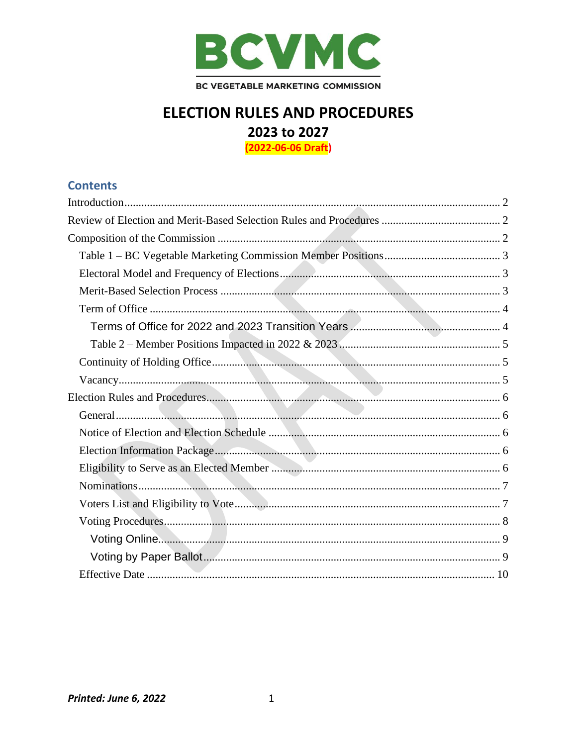

# **ELECTION RULES AND PROCEDURES** 2023 to 2027 (2022-06-06 Draft)

**Contents**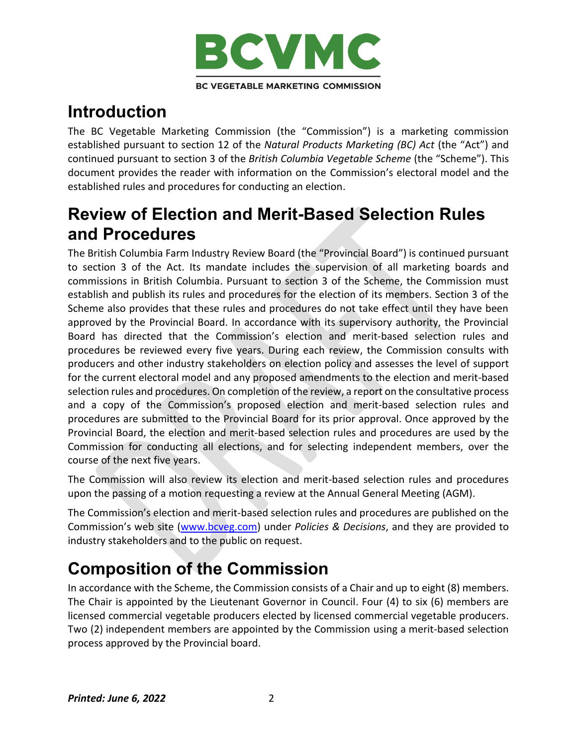

# <span id="page-1-0"></span>**Introduction**

The BC Vegetable Marketing Commission (the "Commission") is a marketing commission established pursuant to section 12 of the *Natural Products Marketing (BC) Act* (the "Act") and continued pursuant to section 3 of the *British Columbia Vegetable Scheme* (the "Scheme"). This document provides the reader with information on the Commission's electoral model and the established rules and procedures for conducting an election.

# <span id="page-1-1"></span>**Review of Election and Merit-Based Selection Rules and Procedures**

The British Columbia Farm Industry Review Board (the "Provincial Board") is continued pursuant to section 3 of the Act. Its mandate includes the supervision of all marketing boards and commissions in British Columbia. Pursuant to section 3 of the Scheme, the Commission must establish and publish its rules and procedures for the election of its members. Section 3 of the Scheme also provides that these rules and procedures do not take effect until they have been approved by the Provincial Board. In accordance with its supervisory authority, the Provincial Board has directed that the Commission's election and merit-based selection rules and procedures be reviewed every five years. During each review, the Commission consults with producers and other industry stakeholders on election policy and assesses the level of support for the current electoral model and any proposed amendments to the election and merit-based selection rules and procedures. On completion of the review, a report on the consultative process and a copy of the Commission's proposed election and merit-based selection rules and procedures are submitted to the Provincial Board for its prior approval. Once approved by the Provincial Board, the election and merit-based selection rules and procedures are used by the Commission for conducting all elections, and for selecting independent members, over the course of the next five years.

The Commission will also review its election and merit-based selection rules and procedures upon the passing of a motion requesting a review at the Annual General Meeting (AGM).

The Commission's election and merit-based selection rules and procedures are published on the Commission's web site [\(www.bcveg.com\)](http://www.bcveg.com/) under *Policies & Decisions*, and they are provided to industry stakeholders and to the public on request.

# <span id="page-1-2"></span>**Composition of the Commission**

In accordance with the Scheme, the Commission consists of a Chair and up to eight (8) members. The Chair is appointed by the Lieutenant Governor in Council. Four (4) to six (6) members are licensed commercial vegetable producers elected by licensed commercial vegetable producers. Two (2) independent members are appointed by the Commission using a merit-based selection process approved by the Provincial board.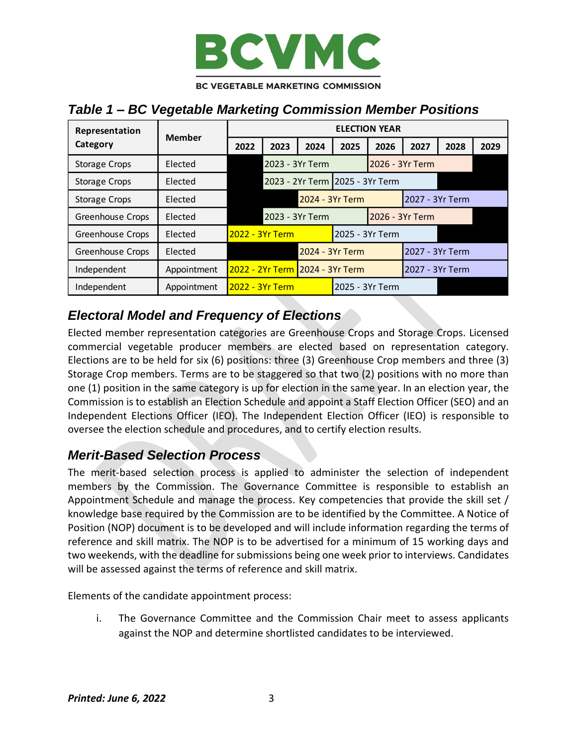

## <span id="page-2-0"></span>*Table 1 – BC Vegetable Marketing Commission Member Positions*

| Representation          | <b>Member</b>  | <b>ELECTION YEAR</b>            |                 |      |                 |                 |                 |                 |      |
|-------------------------|----------------|---------------------------------|-----------------|------|-----------------|-----------------|-----------------|-----------------|------|
| Category                |                | 2022                            | 2023            | 2024 | 2025            | 2026            | 2027            | 2028            | 2029 |
| <b>Storage Crops</b>    | Elected        | 2023 - 3Yr Term                 |                 |      | 2026 - 3Yr Term |                 |                 |                 |      |
| <b>Storage Crops</b>    | Elected        | 2023 - 2Yr Term 2025 - 3Yr Term |                 |      |                 |                 |                 |                 |      |
| <b>Storage Crops</b>    | Elected        |                                 | 2024 - 3Yr Term |      |                 |                 | 2027 - 3Yr Term |                 |      |
| Greenhouse Crops        | Elected        | 2023 - 3Yr Term                 |                 |      | 2026 - 3Yr Term |                 |                 |                 |      |
| <b>Greenhouse Crops</b> | <b>Flected</b> | <u> 2022 - 3Yr Term</u>         |                 |      |                 | 2025 - 3Yr Term |                 |                 |      |
| Greenhouse Crops        | Elected        | 2024 - 3Yr Term                 |                 |      | 2027 - 3Yr Term |                 |                 |                 |      |
| Independent             | Appointment    |                                 |                 |      |                 |                 |                 | 2027 - 3Yr Term |      |
| Independent             | Appointment    | 2022 - 3Yr Term                 |                 |      | 2025 - 3Yr Term |                 |                 |                 |      |

# <span id="page-2-1"></span>*Electoral Model and Frequency of Elections*

Elected member representation categories are Greenhouse Crops and Storage Crops. Licensed commercial vegetable producer members are elected based on representation category. Elections are to be held for six (6) positions: three (3) Greenhouse Crop members and three (3) Storage Crop members. Terms are to be staggered so that two (2) positions with no more than one (1) position in the same category is up for election in the same year. In an election year, the Commission is to establish an Election Schedule and appoint a Staff Election Officer (SEO) and an Independent Elections Officer (IEO). The Independent Election Officer (IEO) is responsible to oversee the election schedule and procedures, and to certify election results.

### <span id="page-2-2"></span>*Merit-Based Selection Process*

The merit-based selection process is applied to administer the selection of independent members by the Commission. The Governance Committee is responsible to establish an Appointment Schedule and manage the process. Key competencies that provide the skill set / knowledge base required by the Commission are to be identified by the Committee. A Notice of Position (NOP) document is to be developed and will include information regarding the terms of reference and skill matrix. The NOP is to be advertised for a minimum of 15 working days and two weekends, with the deadline for submissions being one week prior to interviews. Candidates will be assessed against the terms of reference and skill matrix.

Elements of the candidate appointment process:

i. The Governance Committee and the Commission Chair meet to assess applicants against the NOP and determine shortlisted candidates to be interviewed.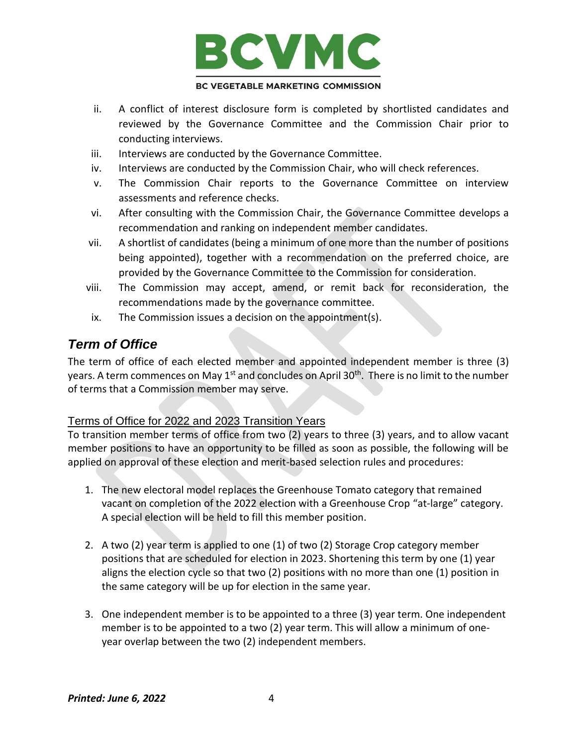

- ii. A conflict of interest disclosure form is completed by shortlisted candidates and reviewed by the Governance Committee and the Commission Chair prior to conducting interviews.
- iii. Interviews are conducted by the Governance Committee.
- iv. Interviews are conducted by the Commission Chair, who will check references.
- v. The Commission Chair reports to the Governance Committee on interview assessments and reference checks.
- vi. After consulting with the Commission Chair, the Governance Committee develops a recommendation and ranking on independent member candidates.
- vii. A shortlist of candidates (being a minimum of one more than the number of positions being appointed), together with a recommendation on the preferred choice, are provided by the Governance Committee to the Commission for consideration.
- viii. The Commission may accept, amend, or remit back for reconsideration, the recommendations made by the governance committee.
- ix. The Commission issues a decision on the appointment(s).

### <span id="page-3-0"></span>*Term of Office*

The term of office of each elected member and appointed independent member is three (3) years. A term commences on May 1<sup>st</sup> and concludes on April 30<sup>th</sup>. There is no limit to the number of terms that a Commission member may serve.

#### <span id="page-3-1"></span>Terms of Office for 2022 and 2023 Transition Years

To transition member terms of office from two (2) years to three (3) years, and to allow vacant member positions to have an opportunity to be filled as soon as possible, the following will be applied on approval of these election and merit-based selection rules and procedures:

- 1. The new electoral model replaces the Greenhouse Tomato category that remained vacant on completion of the 2022 election with a Greenhouse Crop "at-large" category. A special election will be held to fill this member position.
- 2. A two (2) year term is applied to one (1) of two (2) Storage Crop category member positions that are scheduled for election in 2023. Shortening this term by one (1) year aligns the election cycle so that two (2) positions with no more than one (1) position in the same category will be up for election in the same year.
- 3. One independent member is to be appointed to a three (3) year term. One independent member is to be appointed to a two (2) year term. This will allow a minimum of oneyear overlap between the two (2) independent members.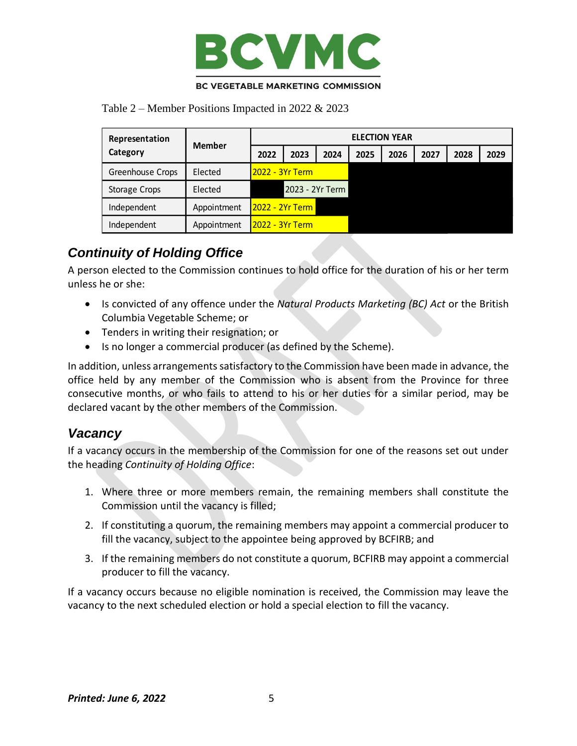

<span id="page-4-0"></span>Table 2 – Member Positions Impacted in 2022 & 2023

| Representation<br>Category | Member      | <b>ELECTION YEAR</b>     |      |      |      |      |      |      |      |
|----------------------------|-------------|--------------------------|------|------|------|------|------|------|------|
|                            |             | 2022                     | 2023 | 2024 | 2025 | 2026 | 2027 | 2028 | 2029 |
| Greenhouse Crops           | Elected     | <u> 12022 - 3Yr Term</u> |      |      |      |      |      |      |      |
| <b>Storage Crops</b>       | Elected     | 2023 - 2Yr Term          |      |      |      |      |      |      |      |
| Independent                | Appointment | <u> 12022 - 2Yr Term</u> |      |      |      |      |      |      |      |
| Independent                | Appointment | <u> 12022 - 3Yr Term</u> |      |      |      |      |      |      |      |

# <span id="page-4-1"></span>*Continuity of Holding Office*

A person elected to the Commission continues to hold office for the duration of his or her term unless he or she:

- Is convicted of any offence under the *Natural Products Marketing (BC) Act* or the British Columbia Vegetable Scheme; or
- Tenders in writing their resignation; or
- Is no longer a commercial producer (as defined by the Scheme).

In addition, unless arrangements satisfactory to the Commission have been made in advance, the office held by any member of the Commission who is absent from the Province for three consecutive months, or who fails to attend to his or her duties for a similar period, may be declared vacant by the other members of the Commission.

### <span id="page-4-2"></span>*Vacancy*

If a vacancy occurs in the membership of the Commission for one of the reasons set out under the heading *Continuity of Holding Office*:

- 1. Where three or more members remain, the remaining members shall constitute the Commission until the vacancy is filled;
- 2. If constituting a quorum, the remaining members may appoint a commercial producer to fill the vacancy, subject to the appointee being approved by BCFIRB; and
- 3. If the remaining members do not constitute a quorum, BCFIRB may appoint a commercial producer to fill the vacancy.

If a vacancy occurs because no eligible nomination is received, the Commission may leave the vacancy to the next scheduled election or hold a special election to fill the vacancy.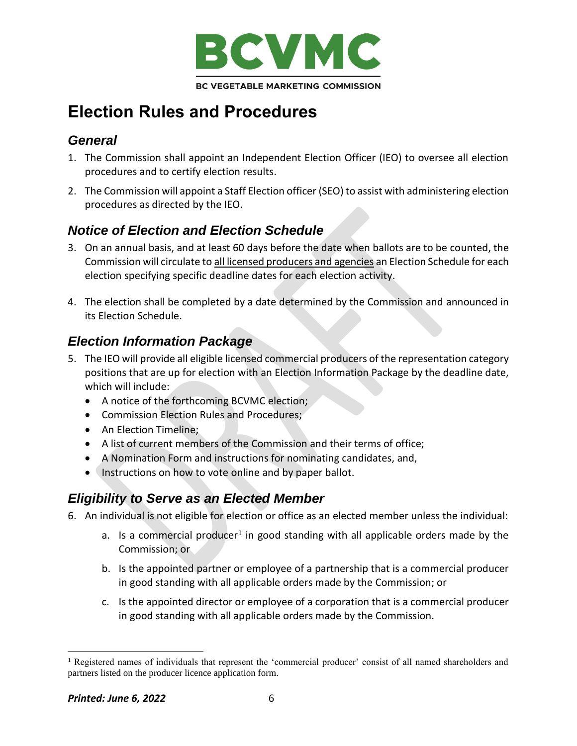

# <span id="page-5-0"></span>**Election Rules and Procedures**

## <span id="page-5-1"></span>*General*

- 1. The Commission shall appoint an Independent Election Officer (IEO) to oversee all election procedures and to certify election results.
- 2. The Commission will appoint a Staff Election officer (SEO) to assist with administering election procedures as directed by the IEO.

## <span id="page-5-2"></span>*Notice of Election and Election Schedule*

- 3. On an annual basis, and at least 60 days before the date when ballots are to be counted, the Commission will circulate to all licensed producers and agencies an Election Schedule for each election specifying specific deadline dates for each election activity.
- 4. The election shall be completed by a date determined by the Commission and announced in its Election Schedule.

# <span id="page-5-3"></span>*Election Information Package*

- 5. The IEO will provide all eligible licensed commercial producers of the representation category positions that are up for election with an Election Information Package by the deadline date, which will include:
	- A notice of the forthcoming BCVMC election;
	- Commission Election Rules and Procedures;
	- An Election Timeline;
	- A list of current members of the Commission and their terms of office;
	- A Nomination Form and instructions for nominating candidates, and,
	- Instructions on how to vote online and by paper ballot.

### <span id="page-5-4"></span>*Eligibility to Serve as an Elected Member*

6. An individual is not eligible for election or office as an elected member unless the individual:

- a. Is a commercial producer<sup>1</sup> in good standing with all applicable orders made by the Commission; or
- b. Is the appointed partner or employee of a partnership that is a commercial producer in good standing with all applicable orders made by the Commission; or
- c. Is the appointed director or employee of a corporation that is a commercial producer in good standing with all applicable orders made by the Commission.

<sup>&</sup>lt;sup>1</sup> Registered names of individuals that represent the 'commercial producer' consist of all named shareholders and partners listed on the producer licence application form.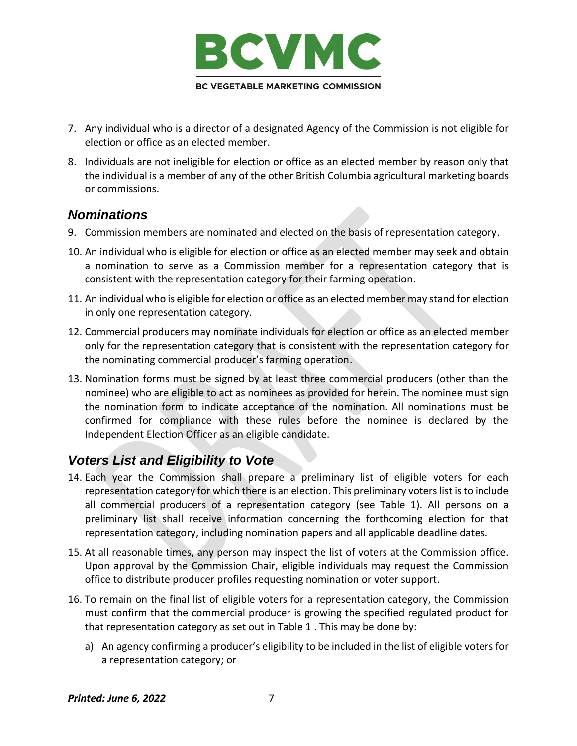

- 7. Any individual who is a director of a designated Agency of the Commission is not eligible for election or office as an elected member.
- 8. Individuals are not ineligible for election or office as an elected member by reason only that the individual is a member of any of the other British Columbia agricultural marketing boards or commissions.

#### <span id="page-6-0"></span>*Nominations*

- 9. Commission members are nominated and elected on the basis of representation category.
- 10. An individual who is eligible for election or office as an elected member may seek and obtain a nomination to serve as a Commission member for a representation category that is consistent with the representation category for their farming operation.
- 11. An individual who is eligible for election or office as an elected member may stand for election in only one representation category.
- 12. Commercial producers may nominate individuals for election or office as an elected member only for the representation category that is consistent with the representation category for the nominating commercial producer's farming operation.
- 13. Nomination forms must be signed by at least three commercial producers (other than the nominee) who are eligible to act as nominees as provided for herein. The nominee must sign the nomination form to indicate acceptance of the nomination. All nominations must be confirmed for compliance with these rules before the nominee is declared by the Independent Election Officer as an eligible candidate.

## <span id="page-6-1"></span>*Voters List and Eligibility to Vote*

- 14. Each year the Commission shall prepare a preliminary list of eligible voters for each representation category for which there is an election. This preliminary voters list is to include all commercial producers of a representation category (see Table 1). All persons on a preliminary list shall receive information concerning the forthcoming election for that representation category, including nomination papers and all applicable deadline dates.
- 15. At all reasonable times, any person may inspect the list of voters at the Commission office. Upon approval by the Commission Chair, eligible individuals may request the Commission office to distribute producer profiles requesting nomination or voter support.
- 16. To remain on the final list of eligible voters for a representation category, the Commission must confirm that the commercial producer is growing the specified regulated product for that representation category as set out in Table 1 . This may be done by:
	- a) An agency confirming a producer's eligibility to be included in the list of eligible voters for a representation category; or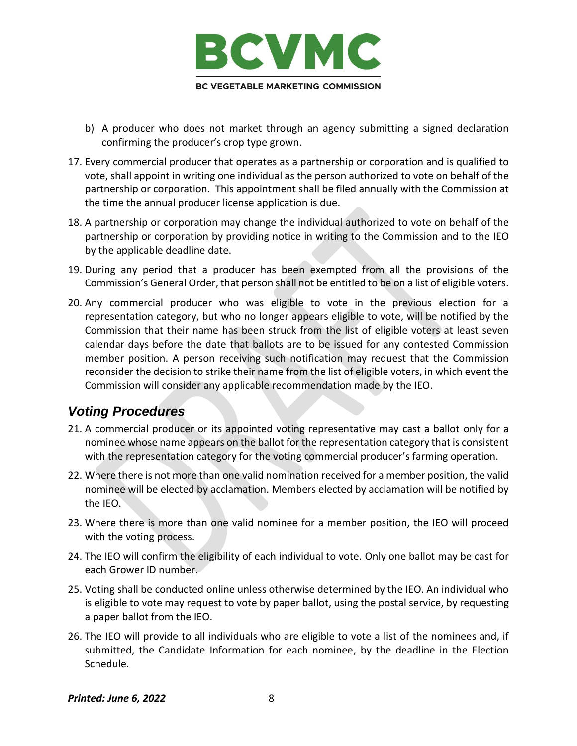

- b) A producer who does not market through an agency submitting a signed declaration confirming the producer's crop type grown.
- 17. Every commercial producer that operates as a partnership or corporation and is qualified to vote, shall appoint in writing one individual as the person authorized to vote on behalf of the partnership or corporation. This appointment shall be filed annually with the Commission at the time the annual producer license application is due.
- 18. A partnership or corporation may change the individual authorized to vote on behalf of the partnership or corporation by providing notice in writing to the Commission and to the IEO by the applicable deadline date.
- 19. During any period that a producer has been exempted from all the provisions of the Commission's General Order, that person shall not be entitled to be on a list of eligible voters.
- 20. Any commercial producer who was eligible to vote in the previous election for a representation category, but who no longer appears eligible to vote, will be notified by the Commission that their name has been struck from the list of eligible voters at least seven calendar days before the date that ballots are to be issued for any contested Commission member position. A person receiving such notification may request that the Commission reconsider the decision to strike their name from the list of eligible voters, in which event the Commission will consider any applicable recommendation made by the IEO.

### <span id="page-7-0"></span>*Voting Procedures*

- 21. A commercial producer or its appointed voting representative may cast a ballot only for a nominee whose name appears on the ballot for the representation category that is consistent with the representation category for the voting commercial producer's farming operation.
- 22. Where there is not more than one valid nomination received for a member position, the valid nominee will be elected by acclamation. Members elected by acclamation will be notified by the IEO.
- 23. Where there is more than one valid nominee for a member position, the IEO will proceed with the voting process.
- 24. The IEO will confirm the eligibility of each individual to vote. Only one ballot may be cast for each Grower ID number.
- 25. Voting shall be conducted online unless otherwise determined by the IEO. An individual who is eligible to vote may request to vote by paper ballot, using the postal service, by requesting a paper ballot from the IEO.
- 26. The IEO will provide to all individuals who are eligible to vote a list of the nominees and, if submitted, the Candidate Information for each nominee, by the deadline in the Election Schedule.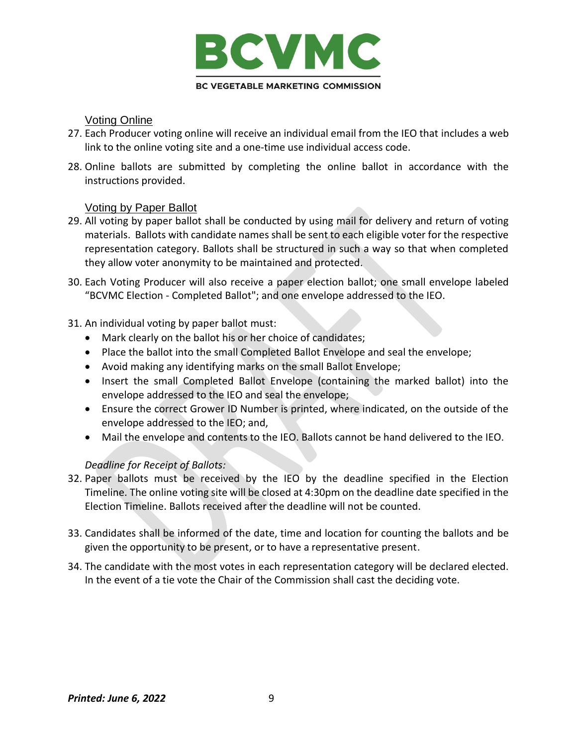

#### Voting Online

- <span id="page-8-0"></span>27. Each Producer voting online will receive an individual email from the IEO that includes a web link to the online voting site and a one-time use individual access code.
- 28. Online ballots are submitted by completing the online ballot in accordance with the instructions provided.

#### Voting by Paper Ballot

- <span id="page-8-1"></span>29. All voting by paper ballot shall be conducted by using mail for delivery and return of voting materials. Ballots with candidate names shall be sent to each eligible voter for the respective representation category. Ballots shall be structured in such a way so that when completed they allow voter anonymity to be maintained and protected.
- 30. Each Voting Producer will also receive a paper election ballot; one small envelope labeled "BCVMC Election - Completed Ballot"; and one envelope addressed to the IEO.
- 31. An individual voting by paper ballot must:
	- Mark clearly on the ballot his or her choice of candidates;
	- Place the ballot into the small Completed Ballot Envelope and seal the envelope;
	- Avoid making any identifying marks on the small Ballot Envelope;
	- Insert the small Completed Ballot Envelope (containing the marked ballot) into the envelope addressed to the IEO and seal the envelope;
	- Ensure the correct Grower ID Number is printed, where indicated, on the outside of the envelope addressed to the IEO; and,
	- Mail the envelope and contents to the IEO. Ballots cannot be hand delivered to the IEO.

#### *Deadline for Receipt of Ballots:*

- 32. Paper ballots must be received by the IEO by the deadline specified in the Election Timeline. The online voting site will be closed at 4:30pm on the deadline date specified in the Election Timeline. Ballots received after the deadline will not be counted.
- 33. Candidates shall be informed of the date, time and location for counting the ballots and be given the opportunity to be present, or to have a representative present.
- 34. The candidate with the most votes in each representation category will be declared elected. In the event of a tie vote the Chair of the Commission shall cast the deciding vote.